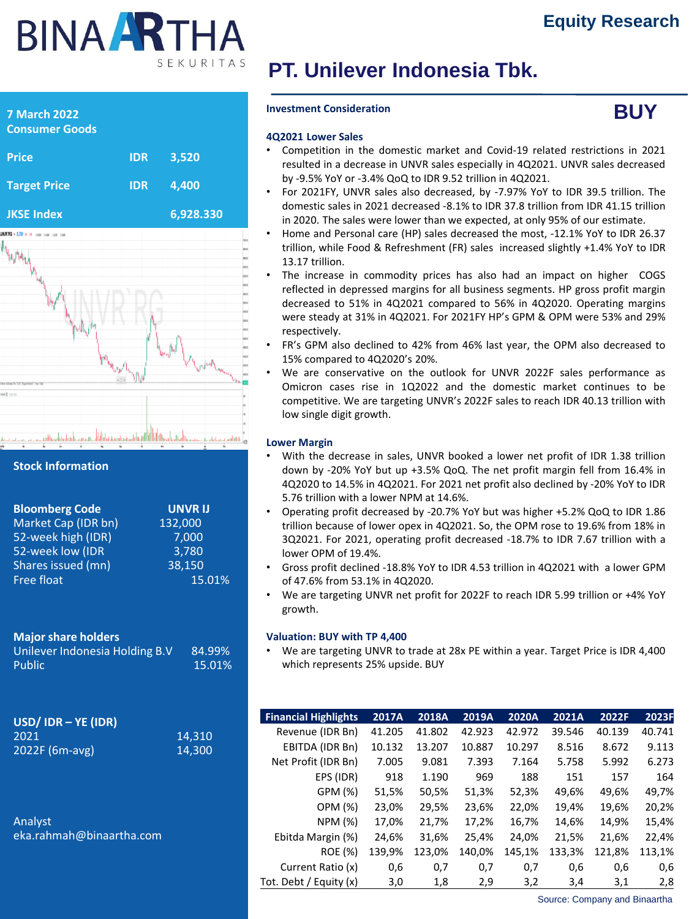# **BINA ARTHA** SEKURITAS

**JKSE Index 6,928.330**

# **PT. Unilever Indonesia Tbk.**

#### **Investment Consideration**



#### **4Q2021 Lower Sales**

- Competition in the domestic market and Covid-19 related restrictions in 2021 resulted in a decrease in UNVR sales especially in 4Q2021. UNVR sales decreased by -9.5% YoY or -3.4% QoQ to IDR 9.52 trillion in 4Q2021.
- For 2021FY, UNVR sales also decreased, by -7.97% YoY to IDR 39.5 trillion. The domestic sales in 2021 decreased -8.1% to IDR 37.8 trillion from IDR 41.15 trillion in 2020. The sales were lower than we expected, at only 95% of our estimate.
- Home and Personal care (HP) sales decreased the most, -12.1% YoY to IDR 26.37 trillion, while Food & Refreshment (FR) sales increased slightly +1.4% YoY to IDR 13.17 trillion.
- The increase in commodity prices has also had an impact on higher COGS reflected in depressed margins for all business segments. HP gross profit margin decreased to 51% in 4Q2021 compared to 56% in 4Q2020. Operating margins were steady at 31% in 4Q2021. For 2021FY HP's GPM & OPM were 53% and 29% respectively.
- FR's GPM also declined to 42% from 46% last year, the OPM also decreased to 15% compared to 4Q2020's 20%.
- We are conservative on the outlook for UNVR 2022F sales performance as Omicron cases rise in 1Q2022 and the domestic market continues to be competitive. We are targeting UNVR's 2022F sales to reach IDR 40.13 trillion with low single digit growth.

#### **Lower Margin**

- With the decrease in sales, UNVR booked a lower net profit of IDR 1.38 trillion down by -20% YoY but up +3.5% QoQ. The net profit margin fell from 16.4% in 4Q2020 to 14.5% in 4Q2021. For 2021 net profit also declined by -20% YoY to IDR 5.76 trillion with a lower NPM at 14.6%.
- Operating profit decreased by -20.7% YoY but was higher +5.2% QoQ to IDR 1.86 trillion because of lower opex in 4Q2021. So, the OPM rose to 19.6% from 18% in 3Q2021. For 2021, operating profit decreased -18.7% to IDR 7.67 trillion with a lower OPM of 19.4%.
- Gross profit declined -18.8% YoY to IDR 4.53 trillion in 4Q2021 with a lower GPM of 47.6% from 53.1% in 4Q2020.
- We are targeting UNVR net profit for 2022F to reach IDR 5.99 trillion or +4% YoY growth.

#### **Valuation: BUY with TP 4,400**

• We are targeting UNVR to trade at 28x PE within a year. Target Price is IDR 4,400 which represents 25% upside. BUY

| <b>Financial Highlights</b> | 2017A  | 2018A  | 2019A  | 2020A  | 2021A  | 2022F  | 2023F  |
|-----------------------------|--------|--------|--------|--------|--------|--------|--------|
| Revenue (IDR Bn)            | 41.205 | 41.802 | 42.923 | 42.972 | 39.546 | 40.139 | 40.741 |
| EBITDA (IDR Bn)             | 10.132 | 13.207 | 10.887 | 10.297 | 8.516  | 8.672  | 9.113  |
| Net Profit (IDR Bn)         | 7.005  | 9.081  | 7.393  | 7.164  | 5.758  | 5.992  | 6.273  |
| EPS (IDR)                   | 918    | 1.190  | 969    | 188    | 151    | 157    | 164    |
| GPM (%)                     | 51,5%  | 50,5%  | 51,3%  | 52,3%  | 49,6%  | 49,6%  | 49,7%  |
| OPM (%)                     | 23,0%  | 29,5%  | 23,6%  | 22,0%  | 19,4%  | 19,6%  | 20,2%  |
| NPM (%)                     | 17,0%  | 21,7%  | 17,2%  | 16,7%  | 14,6%  | 14,9%  | 15,4%  |
| Ebitda Margin (%)           | 24,6%  | 31,6%  | 25,4%  | 24,0%  | 21,5%  | 21,6%  | 22,4%  |
| <b>ROE</b> (%)              | 139,9% | 123,0% | 140,0% | 145,1% | 133,3% | 121,8% | 113,1% |
| Current Ratio (x)           | 0,6    | 0,7    | 0,7    | 0,7    | 0,6    | 0,6    | 0,6    |
| Tot. Debt / Equity (x)      | 3,0    | 1,8    | 2,9    | 3,2    | 3,4    | 3,1    | 2,8    |

Source: Company and Binaartha

| <b>Consumer Goods</b>                |            |       |
|--------------------------------------|------------|-------|
| <b>Price</b>                         | <b>IDR</b> | 3,520 |
| <b>Target Price</b>                  | <b>IDR</b> | 4,400 |
| <b>JKSE Index</b>                    |            | 6,928 |
| 3,750 as (70) page is am Lease class |            |       |

**7 March 2022**

**Stock Information**

| <b>Bloomberg Code</b> | <b>UNVRIJ</b> |
|-----------------------|---------------|
| Market Cap (IDR bn)   | 132,000       |
| 52-week high (IDR)    | 7,000         |
| 52-week low (IDR      | 3,780         |
| Shares issued (mn)    | 38,150        |
| Free float            | 15.01%        |

# **Major share holders**

Unilever Indonesia Holding B.V 84.99% Public 15.01%

| $USD/$ IDR – YE (IDR) |        |
|-----------------------|--------|
| 2021                  | 14.310 |
| $2022F(6m-avg)$       | 14.300 |

Analyst eka.rahmah@binaartha.com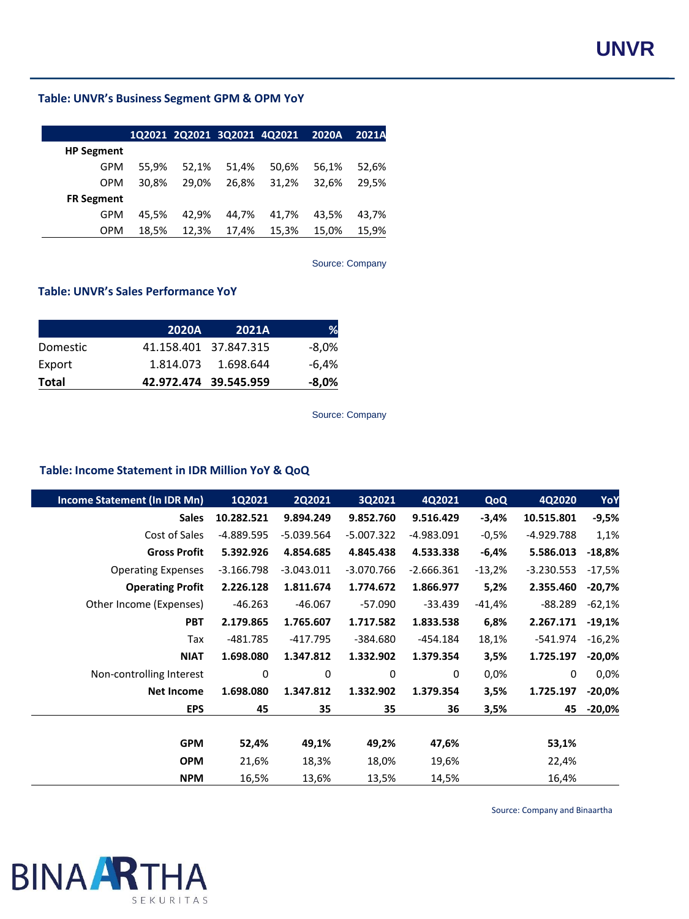# **Table: UNVR's Business Segment GPM & OPM YoY**

|                   |       |       |       | 1Q2021 2Q2021 3Q2021 4Q2021 2020A |       | 2021A |
|-------------------|-------|-------|-------|-----------------------------------|-------|-------|
| <b>HP Segment</b> |       |       |       |                                   |       |       |
| GPM               | 55.9% | 52,1% | 51,4% | 50,6%                             | 56,1% | 52,6% |
| <b>OPM</b>        | 30.8% | 29.0% | 26.8% | 31.2%                             | 32,6% | 29.5% |
| <b>FR Segment</b> |       |       |       |                                   |       |       |
| GPM               | 45.5% | 42.9% | 44.7% | 41.7%                             | 43.5% | 43.7% |
| <b>OPM</b>        | 18.5% | 12.3% | 17.4% | 15,3%                             | 15.0% | 15.9% |

Source: Company

#### **Table: UNVR's Sales Performance YoY**

|          | <b>2020A</b> | <b>2021A</b>          | ℅        |
|----------|--------------|-----------------------|----------|
| Domestic |              | 41.158.401 37.847.315 | $-8,0\%$ |
| Export   |              | 1.814.073  1.698.644  | -6.4%    |
| Total    |              | 42.972.474 39.545.959 | -8,0%    |

Source: Company

# **Table: Income Statement in IDR Million YoY & QoQ**

| <b>Income Statement (In IDR Mn)</b> | 1Q2021       | <b>2Q2021</b> | 3Q2021       | 4Q2021       | <b>QoQ</b> | 4Q2020       | YoY       |
|-------------------------------------|--------------|---------------|--------------|--------------|------------|--------------|-----------|
| <b>Sales</b>                        | 10.282.521   | 9.894.249     | 9.852.760    | 9.516.429    | $-3,4%$    | 10.515.801   | $-9,5%$   |
| Cost of Sales                       | -4.889.595   | $-5.039.564$  | $-5.007.322$ | $-4.983.091$ | $-0,5%$    | -4.929.788   | 1,1%      |
| <b>Gross Profit</b>                 | 5.392.926    | 4.854.685     | 4.845.438    | 4.533.338    | -6,4%      | 5.586.013    | $-18,8%$  |
| <b>Operating Expenses</b>           | $-3.166.798$ | $-3.043.011$  | $-3.070.766$ | $-2.666.361$ | $-13,2%$   | $-3.230.553$ | $-17,5%$  |
| <b>Operating Profit</b>             | 2.226.128    | 1.811.674     | 1.774.672    | 1.866.977    | 5,2%       | 2.355.460    | $-20,7%$  |
| Other Income (Expenses)             | $-46.263$    | $-46.067$     | $-57.090$    | $-33.439$    | -41,4%     | $-88.289$    | $-62,1%$  |
| <b>PBT</b>                          | 2.179.865    | 1.765.607     | 1.717.582    | 1.833.538    | 6,8%       | 2.267.171    | $-19,1%$  |
| Tax                                 | $-481.785$   | $-417.795$    | $-384.680$   | $-454.184$   | 18,1%      | -541.974     | $-16,2%$  |
| <b>NIAT</b>                         | 1.698.080    | 1.347.812     | 1.332.902    | 1.379.354    | 3,5%       | 1.725.197    | $-20,0\%$ |
| Non-controlling Interest            | 0            | 0             | 0            | $\mathbf{0}$ | $0,0\%$    | $\Omega$     | 0,0%      |
| <b>Net Income</b>                   | 1.698.080    | 1.347.812     | 1.332.902    | 1.379.354    | 3,5%       | 1.725.197    | $-20,0\%$ |
| <b>EPS</b>                          | 45           | 35            | 35           | 36           | 3,5%       | 45           | $-20,0%$  |
|                                     |              |               |              |              |            |              |           |
| <b>GPM</b>                          | 52,4%        | 49,1%         | 49,2%        | 47,6%        |            | 53,1%        |           |
| <b>OPM</b>                          | 21,6%        | 18,3%         | 18,0%        | 19,6%        |            | 22,4%        |           |
| <b>NPM</b>                          | 16,5%        | 13,6%         | 13,5%        | 14,5%        |            | 16,4%        |           |

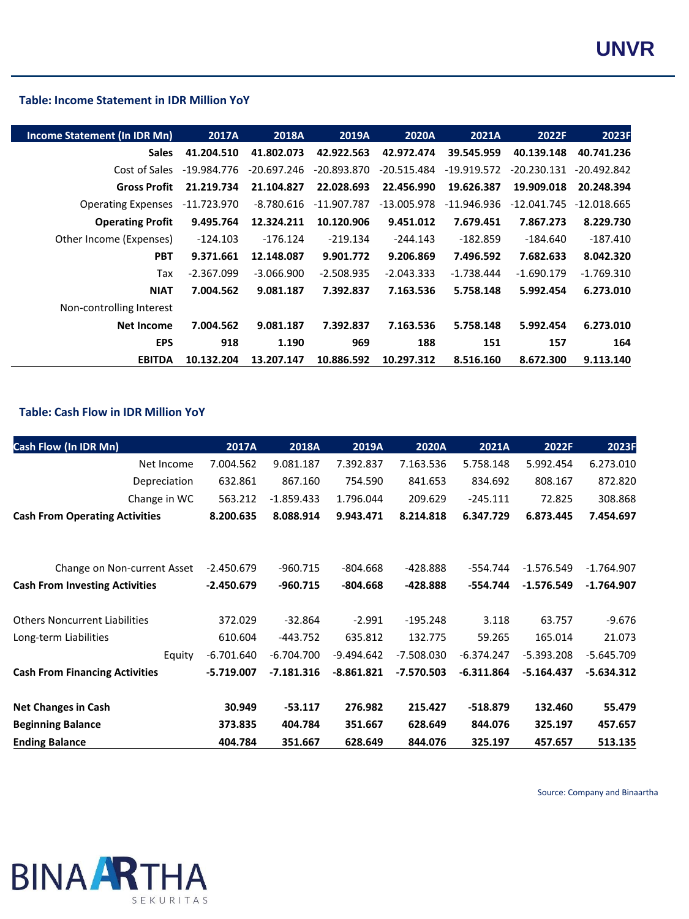### **Table: Income Statement in IDR Million YoY**

| Income Statement (In IDR Mn) | 2017A         | <b>2018A</b>  | 2019A         | <b>2020A</b>  | 2021A         | 2022F         | 2023F         |
|------------------------------|---------------|---------------|---------------|---------------|---------------|---------------|---------------|
| <b>Sales</b>                 | 41.204.510    | 41.802.073    | 42.922.563    | 42.972.474    | 39.545.959    | 40.139.148    | 40.741.236    |
| Cost of Sales                | $-19.984.776$ | $-20.697.246$ | $-20.893.870$ | $-20.515.484$ | $-19.919.572$ | $-20.230.131$ | $-20.492.842$ |
| <b>Gross Profit</b>          | 21.219.734    | 21.104.827    | 22.028.693    | 22.456.990    | 19.626.387    | 19.909.018    | 20.248.394    |
| <b>Operating Expenses</b>    | $-11.723.970$ | -8.780.616    | -11.907.787   | $-13.005.978$ | $-11.946.936$ | $-12.041.745$ | $-12.018.665$ |
| <b>Operating Profit</b>      | 9.495.764     | 12.324.211    | 10.120.906    | 9.451.012     | 7.679.451     | 7.867.273     | 8.229.730     |
| Other Income (Expenses)      | $-124.103$    | $-176.124$    | $-219.134$    | $-244.143$    | $-182.859$    | -184.640      | $-187.410$    |
| <b>PBT</b>                   | 9.371.661     | 12.148.087    | 9.901.772     | 9.206.869     | 7.496.592     | 7.682.633     | 8.042.320     |
| Tax                          | $-2.367.099$  | $-3.066.900$  | $-2.508.935$  | $-2.043.333$  | $-1.738.444$  | $-1.690.179$  | $-1.769.310$  |
| <b>NIAT</b>                  | 7.004.562     | 9.081.187     | 7.392.837     | 7.163.536     | 5.758.148     | 5.992.454     | 6.273.010     |
| Non-controlling Interest     |               |               |               |               |               |               |               |
| <b>Net Income</b>            | 7.004.562     | 9.081.187     | 7.392.837     | 7.163.536     | 5.758.148     | 5.992.454     | 6.273.010     |
| <b>EPS</b>                   | 918           | 1.190         | 969           | 188           | 151           | 157           | 164           |
| <b>EBITDA</b>                | 10.132.204    | 13.207.147    | 10.886.592    | 10.297.312    | 8.516.160     | 8.672.300     | 9.113.140     |

#### **Table: Cash Flow in IDR Million YoY**

| <b>Cash Flow (In IDR Mn)</b>          | 2017A        | 2018A        | 2019A        | 2020A        | 2021A        | 2022F        | 2023F        |
|---------------------------------------|--------------|--------------|--------------|--------------|--------------|--------------|--------------|
| Net Income                            | 7.004.562    | 9.081.187    | 7.392.837    | 7.163.536    | 5.758.148    | 5.992.454    | 6.273.010    |
| Depreciation                          | 632.861      | 867.160      | 754.590      | 841.653      | 834.692      | 808.167      | 872.820      |
| Change in WC                          | 563.212      | $-1.859.433$ | 1.796.044    | 209.629      | $-245.111$   | 72.825       | 308.868      |
| <b>Cash From Operating Activities</b> | 8.200.635    | 8.088.914    | 9.943.471    | 8.214.818    | 6.347.729    | 6.873.445    | 7.454.697    |
|                                       |              |              |              |              |              |              |              |
| Change on Non-current Asset           | $-2.450.679$ | $-960.715$   | $-804.668$   | -428.888     | $-554.744$   | $-1.576.549$ | $-1.764.907$ |
| <b>Cash From Investing Activities</b> | $-2.450.679$ | $-960.715$   | $-804.668$   | $-428.888$   | -554.744     | $-1.576.549$ | $-1.764.907$ |
| <b>Others Noncurrent Liabilities</b>  | 372.029      | $-32.864$    | $-2.991$     | $-195.248$   | 3.118        | 63.757       | $-9.676$     |
| Long-term Liabilities                 | 610.604      | $-443.752$   | 635.812      | 132.775      | 59.265       | 165.014      | 21.073       |
| Equity                                | $-6.701.640$ | $-6.704.700$ | $-9.494.642$ | $-7.508.030$ | $-6.374.247$ | $-5.393.208$ | $-5.645.709$ |
| <b>Cash From Financing Activities</b> | $-5.719.007$ | $-7.181.316$ | $-8.861.821$ | $-7.570.503$ | $-6.311.864$ | $-5.164.437$ | $-5.634.312$ |
| <b>Net Changes in Cash</b>            | 30.949       | $-53.117$    | 276.982      | 215.427      | $-518.879$   | 132.460      | 55.479       |
| <b>Beginning Balance</b>              | 373.835      | 404.784      | 351.667      | 628.649      | 844.076      | 325.197      | 457.657      |
| <b>Ending Balance</b>                 | 404.784      | 351.667      | 628.649      | 844.076      | 325.197      | 457.657      | 513.135      |

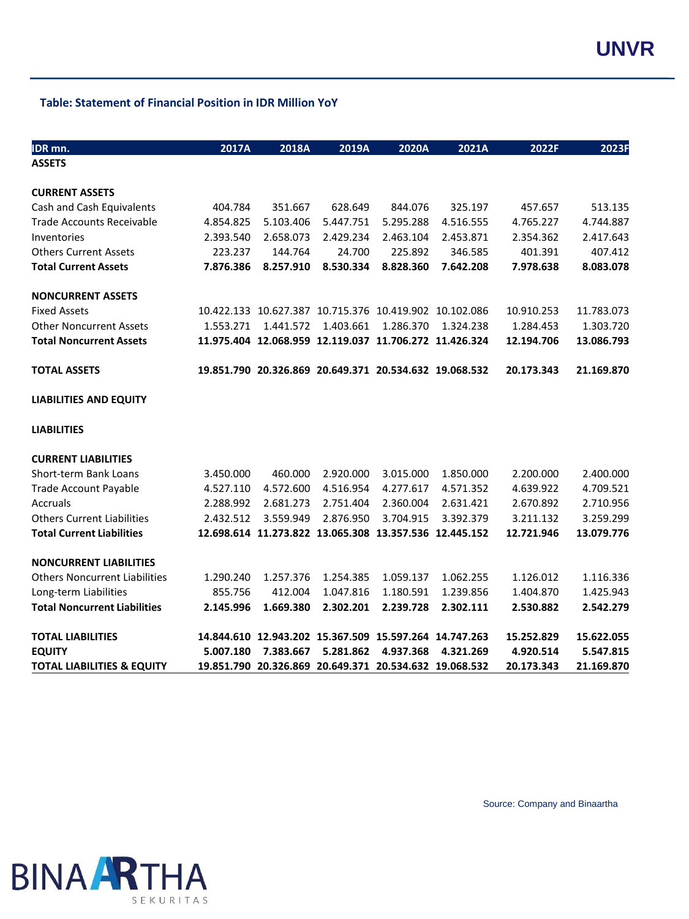### **Table: Statement of Financial Position in IDR Million YoY**

| IDR <sub>mn</sub> .                   | 2017A     | 2018A     | 2019A     | 2020A                                                  | 2021A     | 2022F      | 2023F      |
|---------------------------------------|-----------|-----------|-----------|--------------------------------------------------------|-----------|------------|------------|
| <b>ASSETS</b>                         |           |           |           |                                                        |           |            |            |
|                                       |           |           |           |                                                        |           |            |            |
| <b>CURRENT ASSETS</b>                 |           |           |           |                                                        |           |            |            |
| Cash and Cash Equivalents             | 404.784   | 351.667   | 628.649   | 844.076                                                | 325.197   | 457.657    | 513.135    |
| <b>Trade Accounts Receivable</b>      | 4.854.825 | 5.103.406 | 5.447.751 | 5.295.288                                              | 4.516.555 | 4.765.227  | 4.744.887  |
| Inventories                           | 2.393.540 | 2.658.073 | 2.429.234 | 2.463.104                                              | 2.453.871 | 2.354.362  | 2.417.643  |
| <b>Others Current Assets</b>          | 223.237   | 144.764   | 24.700    | 225.892                                                | 346.585   | 401.391    | 407.412    |
| <b>Total Current Assets</b>           | 7.876.386 | 8.257.910 | 8.530.334 | 8.828.360                                              | 7.642.208 | 7.978.638  | 8.083.078  |
| <b>NONCURRENT ASSETS</b>              |           |           |           |                                                        |           |            |            |
| <b>Fixed Assets</b>                   |           |           |           | 10.422.133 10.627.387 10.715.376 10.419.902 10.102.086 |           | 10.910.253 | 11.783.073 |
| <b>Other Noncurrent Assets</b>        | 1.553.271 | 1.441.572 | 1.403.661 | 1.286.370                                              | 1.324.238 | 1.284.453  | 1.303.720  |
| <b>Total Noncurrent Assets</b>        |           |           |           | 11.975.404 12.068.959 12.119.037 11.706.272 11.426.324 |           | 12.194.706 | 13.086.793 |
| <b>TOTAL ASSETS</b>                   |           |           |           | 19.851.790 20.326.869 20.649.371 20.534.632 19.068.532 |           | 20.173.343 | 21.169.870 |
|                                       |           |           |           |                                                        |           |            |            |
| <b>LIABILITIES AND EQUITY</b>         |           |           |           |                                                        |           |            |            |
| <b>LIABILITIES</b>                    |           |           |           |                                                        |           |            |            |
| <b>CURRENT LIABILITIES</b>            |           |           |           |                                                        |           |            |            |
| Short-term Bank Loans                 | 3.450.000 | 460.000   | 2.920.000 | 3.015.000                                              | 1.850.000 | 2.200.000  | 2.400.000  |
| <b>Trade Account Payable</b>          | 4.527.110 | 4.572.600 | 4.516.954 | 4.277.617                                              | 4.571.352 | 4.639.922  | 4.709.521  |
| Accruals                              | 2.288.992 | 2.681.273 | 2.751.404 | 2.360.004                                              | 2.631.421 | 2.670.892  | 2.710.956  |
| <b>Others Current Liabilities</b>     | 2.432.512 | 3.559.949 | 2.876.950 | 3.704.915                                              | 3.392.379 | 3.211.132  | 3.259.299  |
| <b>Total Current Liabilities</b>      |           |           |           | 12.698.614 11.273.822 13.065.308 13.357.536 12.445.152 |           | 12.721.946 | 13.079.776 |
| <b>NONCURRENT LIABILITIES</b>         |           |           |           |                                                        |           |            |            |
| <b>Others Noncurrent Liabilities</b>  | 1.290.240 | 1.257.376 | 1.254.385 | 1.059.137                                              | 1.062.255 | 1.126.012  | 1.116.336  |
| Long-term Liabilities                 | 855.756   | 412.004   | 1.047.816 | 1.180.591                                              | 1.239.856 | 1.404.870  | 1.425.943  |
| <b>Total Noncurrent Liabilities</b>   | 2.145.996 | 1.669.380 | 2.302.201 | 2.239.728                                              | 2.302.111 | 2.530.882  | 2.542.279  |
| <b>TOTAL LIABILITIES</b>              |           |           |           | 14.844.610 12.943.202 15.367.509 15.597.264 14.747.263 |           | 15.252.829 | 15.622.055 |
| <b>EQUITY</b>                         | 5.007.180 | 7.383.667 | 5.281.862 | 4.937.368                                              | 4.321.269 | 4.920.514  | 5.547.815  |
| <b>TOTAL LIABILITIES &amp; EQUITY</b> |           |           |           | 19.851.790 20.326.869 20.649.371 20.534.632 19.068.532 |           | 20.173.343 | 21.169.870 |

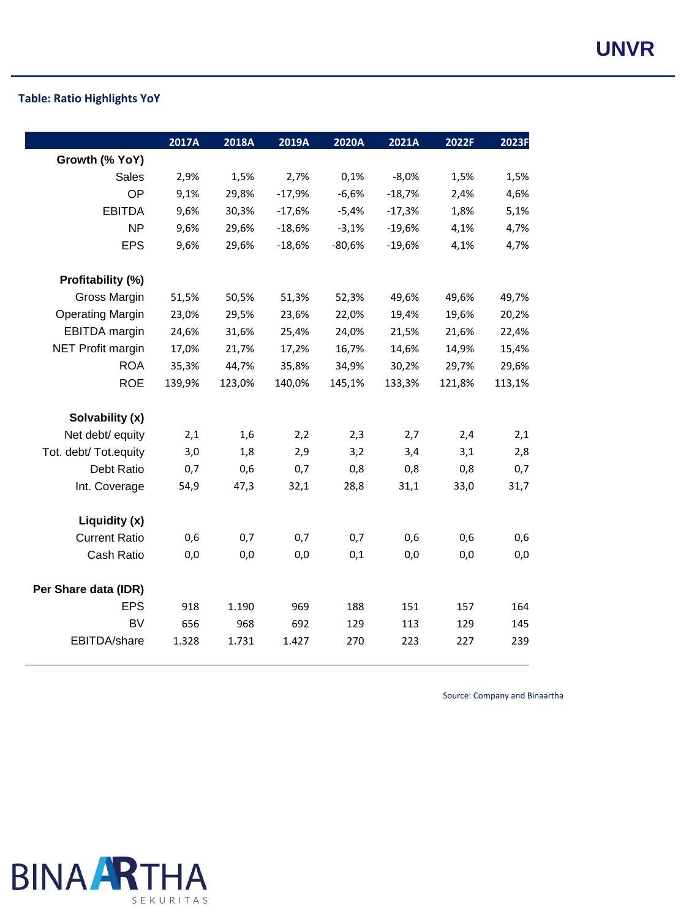# **UNVR**

# **Table: Ratio Highlights YoY**

|                          | 2017A  | 2018A  | 2019A    | 2020A    | 2021A    | 2022F  | 2023F  |
|--------------------------|--------|--------|----------|----------|----------|--------|--------|
| Growth (% YoY)           |        |        |          |          |          |        |        |
| <b>Sales</b>             | 2,9%   | 1,5%   | 2,7%     | 0,1%     | $-8,0%$  | 1,5%   | 1,5%   |
| OP                       | 9,1%   | 29,8%  | $-17,9%$ | $-6,6%$  | $-18,7%$ | 2,4%   | 4,6%   |
| <b>EBITDA</b>            | 9,6%   | 30,3%  | $-17,6%$ | $-5,4%$  | $-17,3%$ | 1,8%   | 5,1%   |
| <b>NP</b>                | 9,6%   | 29,6%  | $-18,6%$ | $-3,1%$  | $-19,6%$ | 4,1%   | 4,7%   |
| <b>EPS</b>               | 9,6%   | 29,6%  | $-18,6%$ | $-80,6%$ | $-19,6%$ | 4,1%   | 4,7%   |
| Profitability (%)        |        |        |          |          |          |        |        |
| Gross Margin             | 51,5%  | 50,5%  | 51,3%    | 52,3%    | 49,6%    | 49,6%  | 49,7%  |
| <b>Operating Margin</b>  | 23,0%  | 29,5%  | 23,6%    | 22,0%    | 19,4%    | 19,6%  | 20,2%  |
| <b>EBITDA</b> margin     | 24,6%  | 31,6%  | 25,4%    | 24,0%    | 21,5%    | 21,6%  | 22,4%  |
| <b>NET Profit margin</b> | 17,0%  | 21,7%  | 17,2%    | 16,7%    | 14,6%    | 14,9%  | 15,4%  |
| <b>ROA</b>               | 35,3%  | 44,7%  | 35,8%    | 34,9%    | 30,2%    | 29,7%  | 29,6%  |
| <b>ROE</b>               | 139,9% | 123,0% | 140,0%   | 145,1%   | 133,3%   | 121,8% | 113,1% |
| Solvability (x)          |        |        |          |          |          |        |        |
| Net debt/ equity         | 2,1    | 1,6    | 2,2      | 2,3      | 2,7      | 2,4    | 2,1    |
| Tot. debt/ Tot.equity    | 3,0    | 1,8    | 2,9      | 3,2      | 3,4      | 3,1    | 2,8    |
| Debt Ratio               | 0,7    | 0,6    | 0,7      | 0,8      | 0,8      | 0,8    | 0,7    |
| Int. Coverage            | 54,9   | 47,3   | 32,1     | 28,8     | 31,1     | 33,0   | 31,7   |
| Liquidity (x)            |        |        |          |          |          |        |        |
| <b>Current Ratio</b>     | 0,6    | 0,7    | 0,7      | 0,7      | 0,6      | 0,6    | 0,6    |
| Cash Ratio               | 0,0    | 0,0    | 0,0      | 0,1      | 0,0      | 0,0    | 0,0    |
| Per Share data (IDR)     |        |        |          |          |          |        |        |
| <b>EPS</b>               | 918    | 1.190  | 969      | 188      | 151      | 157    | 164    |
| <b>BV</b>                | 656    | 968    | 692      | 129      | 113      | 129    | 145    |
| EBITDA/share             | 1.328  | 1.731  | 1.427    | 270      | 223      | 227    | 239    |